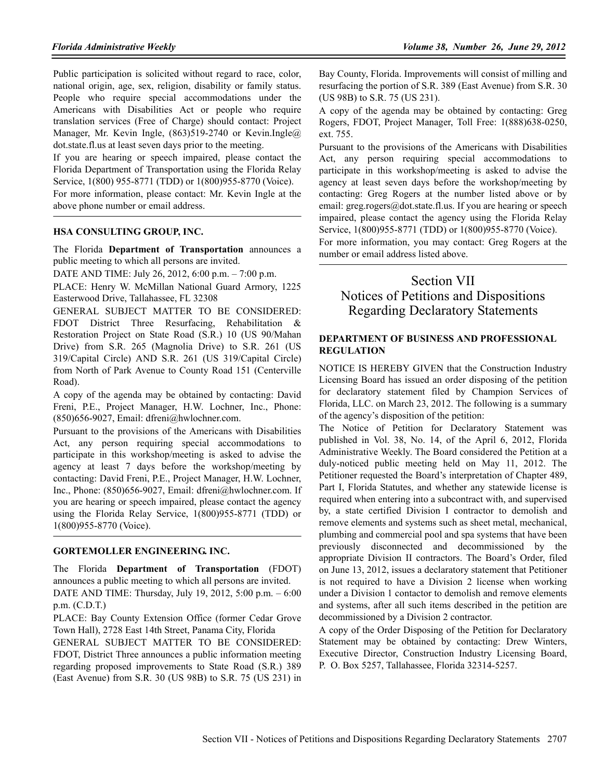Public participation is solicited without regard to race, color, national origin, age, sex, religion, disability or family status. People who require special accommodations under the Americans with Disabilities Act or people who require translation services (Free of Charge) should contact: Project Manager, Mr. Kevin Ingle, (863)519-2740 or Kevin.Ingle@ dot.state.fl.us at least seven days prior to the meeting.

If you are hearing or speech impaired, please contact the Florida Department of Transportation using the Florida Relay Service, 1(800) 955-8771 (TDD) or 1(800)955-8770 (Voice).

For more information, please contact: Mr. Kevin Ingle at the above phone number or email address.

#### **HSA CONSULTING GROUP, INC.**

The Florida **Department of Transportation** announces a public meeting to which all persons are invited.

DATE AND TIME: July 26, 2012, 6:00 p.m. – 7:00 p.m.

PLACE: Henry W. McMillan National Guard Armory, 1225 Easterwood Drive, Tallahassee, FL 32308

GENERAL SUBJECT MATTER TO BE CONSIDERED: FDOT District Three Resurfacing, Rehabilitation & Restoration Project on State Road (S.R.) 10 (US 90/Mahan Drive) from S.R. 265 (Magnolia Drive) to S.R. 261 (US 319/Capital Circle) AND S.R. 261 (US 319/Capital Circle) from North of Park Avenue to County Road 151 (Centerville Road).

A copy of the agenda may be obtained by contacting: David Freni, P.E., Project Manager, H.W. Lochner, Inc., Phone: (850)656-9027, Email: dfreni@hwlochner.com.

Pursuant to the provisions of the Americans with Disabilities Act, any person requiring special accommodations to participate in this workshop/meeting is asked to advise the agency at least 7 days before the workshop/meeting by contacting: David Freni, P.E., Project Manager, H.W. Lochner, Inc., Phone: (850)656-9027, Email: dfreni@hwlochner.com. If you are hearing or speech impaired, please contact the agency using the Florida Relay Service, 1(800)955-8771 (TDD) or 1(800)955-8770 (Voice).

#### **GORTEMOLLER ENGINEERING. INC.**

The Florida **Department of Transportation** (FDOT) announces a public meeting to which all persons are invited. DATE AND TIME: Thursday, July 19, 2012, 5:00 p.m. – 6:00 p.m. (C.D.T.)

PLACE: Bay County Extension Office (former Cedar Grove Town Hall), 2728 East 14th Street, Panama City, Florida

GENERAL SUBJECT MATTER TO BE CONSIDERED: FDOT, District Three announces a public information meeting regarding proposed improvements to State Road (S.R.) 389 (East Avenue) from S.R. 30 (US 98B) to S.R. 75 (US 231) in

Bay County, Florida. Improvements will consist of milling and resurfacing the portion of S.R. 389 (East Avenue) from S.R. 30 (US 98B) to S.R. 75 (US 231).

A copy of the agenda may be obtained by contacting: Greg Rogers, FDOT, Project Manager, Toll Free: 1(888)638-0250, ext. 755.

Pursuant to the provisions of the Americans with Disabilities Act, any person requiring special accommodations to participate in this workshop/meeting is asked to advise the agency at least seven days before the workshop/meeting by contacting: Greg Rogers at the number listed above or by email: greg.rogers@dot.state.fl.us. If you are hearing or speech impaired, please contact the agency using the Florida Relay Service, 1(800)955-8771 (TDD) or 1(800)955-8770 (Voice).

For more information, you may contact: Greg Rogers at the number or email address listed above.

## Section VII Notices of Petitions and Dispositions Regarding Declaratory Statements

#### **DEPARTMENT OF BUSINESS AND PROFESSIONAL REGULATION**

NOTICE IS HEREBY GIVEN that the Construction Industry Licensing Board has issued an order disposing of the petition for declaratory statement filed by Champion Services of Florida, LLC. on March 23, 2012. The following is a summary of the agency's disposition of the petition:

The Notice of Petition for Declaratory Statement was published in Vol. 38, No. 14, of the April 6, 2012, Florida Administrative Weekly. The Board considered the Petition at a duly-noticed public meeting held on May 11, 2012. The Petitioner requested the Board's interpretation of Chapter 489, Part I, Florida Statutes, and whether any statewide license is required when entering into a subcontract with, and supervised by, a state certified Division I contractor to demolish and remove elements and systems such as sheet metal, mechanical, plumbing and commercial pool and spa systems that have been previously disconnected and decommissioned by the appropriate Division II contractors. The Board's Order, filed on June 13, 2012, issues a declaratory statement that Petitioner is not required to have a Division 2 license when working under a Division 1 contactor to demolish and remove elements and systems, after all such items described in the petition are decommissioned by a Division 2 contractor.

A copy of the Order Disposing of the Petition for Declaratory Statement may be obtained by contacting: Drew Winters, Executive Director, Construction Industry Licensing Board, P. O. Box 5257, Tallahassee, Florida 32314-5257.